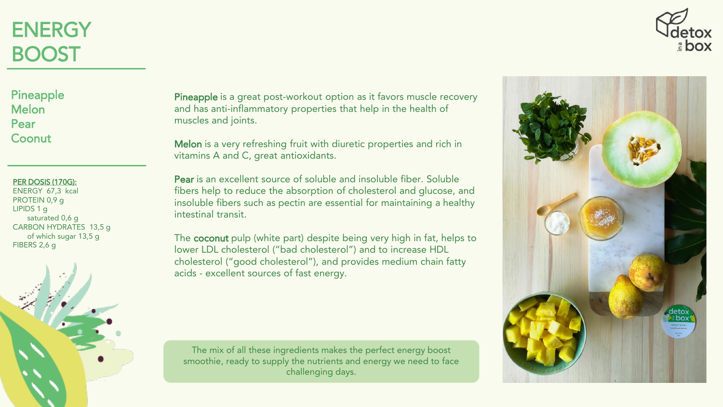## **ENERGY** BOOST



#### PER DOSIS (170G):

ENERGY 67,3 kcal PROTEIN 0,9 g LIPIDS 1 g saturated 0,6 g CARBON HYDRATES 13,5 g of which sugar 13,5 g FIBERS 2,6 g



Pineapple is a great post-workout option as it favors muscle recovery and has anti-inflammatory properties that help in the health of muscles and joints.

Melon is a very refreshing fruit with diuretic properties and rich in vitamins A and C, great antioxidants.

Pear is an excellent source of soluble and insoluble fiber. Soluble fibers help to reduce the absorption of cholesterol and glucose, and insoluble fibers such as pectin are essential for maintaining a healthy intestinal transit.

The coconut pulp (white part) despite being very high in fat, helps to lower LDL cholesterol ("bad cholesterol") and to increase HDL cholesterol ("good cholesterol"), and provides medium chain fatty acids - excellent sources of fast energy.

The mix of all these ingredients makes the perfect energy boost smoothie, ready to supply the nutrients and energy we need to face challenging days.



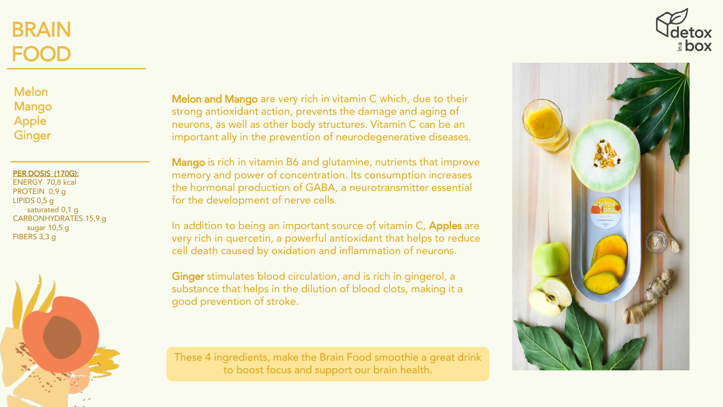# BRAIN FOOD





PER DOSIS (170G):

ENERGY 70,8 kcal PROTEIN 0,9 g LIPIDS 0,5 g saturated 0,1 g CARBONHYDRATES 15,9 g sugar 10,5 g FIBERS 3,3 g



Melon and Mango are very rich in vitamin C which, due to their strong antioxidant action, prevents the damage and aging of neurons, as well as other body structures. Vitamin C can be an important ally in the prevention of neurodegenerative diseases.

Mango is rich in vitamin B6 and glutamine, nutrients that improve memory and power of concentration. Its consumption increases the hormonal production of GABA, a neurotransmitter essential for the development of nerve cells.

In addition to being an important source of vitamin C, Apples are very rich in quercetin, a powerful antioxidant that helps to reduce cell death caused by oxidation and inflammation of neurons.

Ginger stimulates blood circulation, and is rich in gingerol, a substance that helps in the dilution of blood clots, making it a good prevention of stroke.

These 4 ingredients, make the Brain Food smoothie a great drink to boost focus and support our brain health.